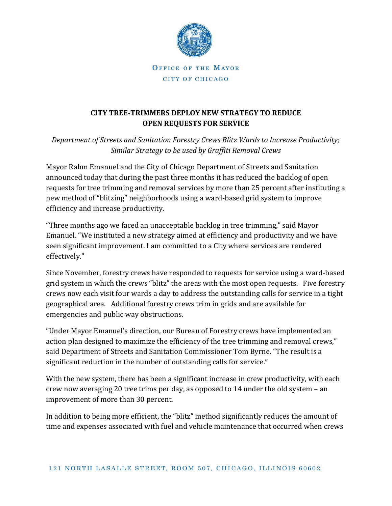

OFFICE OF THE MAYOR CITY OF CHICAGO

## **CITY TREE-TRIMMERS DEPLOY NEW STRATEGY TO REDUCE OPEN REQUESTS FOR SERVICE**

*Department of Streets and Sanitation Forestry Crews Blitz Wards to Increase Productivity; Similar Strategy to be used by Graffiti Removal Crews*

Mayor Rahm Emanuel and the City of Chicago Department of Streets and Sanitation announced today that during the past three months it has reduced the backlog of open requests for tree trimming and removal services by more than 25 percent after instituting a new method of "blitzing" neighborhoods using a ward-based grid system to improve efficiency and increase productivity.

"Three months ago we faced an unacceptable backlog in tree trimming," said Mayor Emanuel. "We instituted a new strategy aimed at efficiency and productivity and we have seen significant improvement. I am committed to a City where services are rendered effectively."

Since November, forestry crews have responded to requests for service using a ward-based grid system in which the crews "blitz" the areas with the most open requests. Five forestry crews now each visit four wards a day to address the outstanding calls for service in a tight geographical area. Additional forestry crews trim in grids and are available for emergencies and public way obstructions.

"Under Mayor Emanuel's direction, our Bureau of Forestry crews have implemented an action plan designed to maximize the efficiency of the tree trimming and removal crews," said Department of Streets and Sanitation Commissioner Tom Byrne. "The result is a significant reduction in the number of outstanding calls for service."

With the new system, there has been a significant increase in crew productivity, with each crew now averaging 20 tree trims per day, as opposed to 14 under the old system – an improvement of more than 30 percent.

In addition to being more efficient, the "blitz" method significantly reduces the amount of time and expenses associated with fuel and vehicle maintenance that occurred when crews